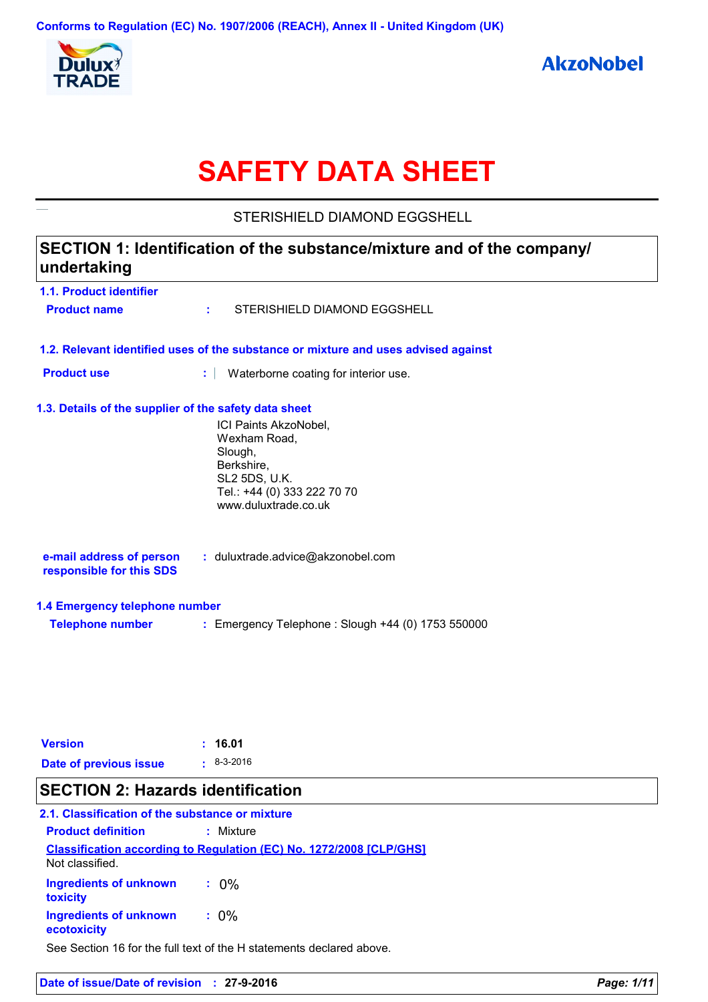

# **SAFETY DATA SHEET**

STERISHIELD DIAMOND EGGSHELL

## **SECTION 1: Identification of the substance/mixture and of the company/ undertaking**

| <b>1.1. Product identifier</b>                        |                                                                                                                                               |
|-------------------------------------------------------|-----------------------------------------------------------------------------------------------------------------------------------------------|
| <b>Product name</b>                                   | STERISHIELD DIAMOND EGGSHELL<br>÷.                                                                                                            |
|                                                       | 1.2. Relevant identified uses of the substance or mixture and uses advised against                                                            |
| <b>Product use</b>                                    | ÷.<br>Waterborne coating for interior use.                                                                                                    |
| 1.3. Details of the supplier of the safety data sheet |                                                                                                                                               |
|                                                       | ICI Paints AkzoNobel,<br>Wexham Road,<br>Slough,<br>Berkshire,<br><b>SL2 5DS, U.K.</b><br>Tel.: +44 (0) 333 222 70 70<br>www.duluxtrade.co.uk |
| e-mail address of person<br>responsible for this SDS  | : duluxtrade.advice@akzonobel.com                                                                                                             |
| 1.4 Emergency telephone number                        |                                                                                                                                               |
| <b>Telephone number</b>                               | : Emergency Telephone : Slough +44 (0) 1753 550000                                                                                            |
|                                                       |                                                                                                                                               |
|                                                       |                                                                                                                                               |
|                                                       |                                                                                                                                               |

| <b>Version</b>         | : 16.01            |
|------------------------|--------------------|
| Date of previous issue | $\pm 8 - 3 - 2016$ |

## **SECTION 2: Hazards identification**

## **2.1. Classification of the substance or mixture**

| <b>Product definition</b>             | $:$ Mixture                                                                |
|---------------------------------------|----------------------------------------------------------------------------|
| Not classified.                       | <b>Classification according to Regulation (EC) No. 1272/2008 [CLP/GHS]</b> |
| Ingredients of unknown<br>toxicity    | $.0\%$                                                                     |
| Ingredients of unknown<br>ecotoxicity | $: 0\%$                                                                    |

See Section 16 for the full text of the H statements declared above.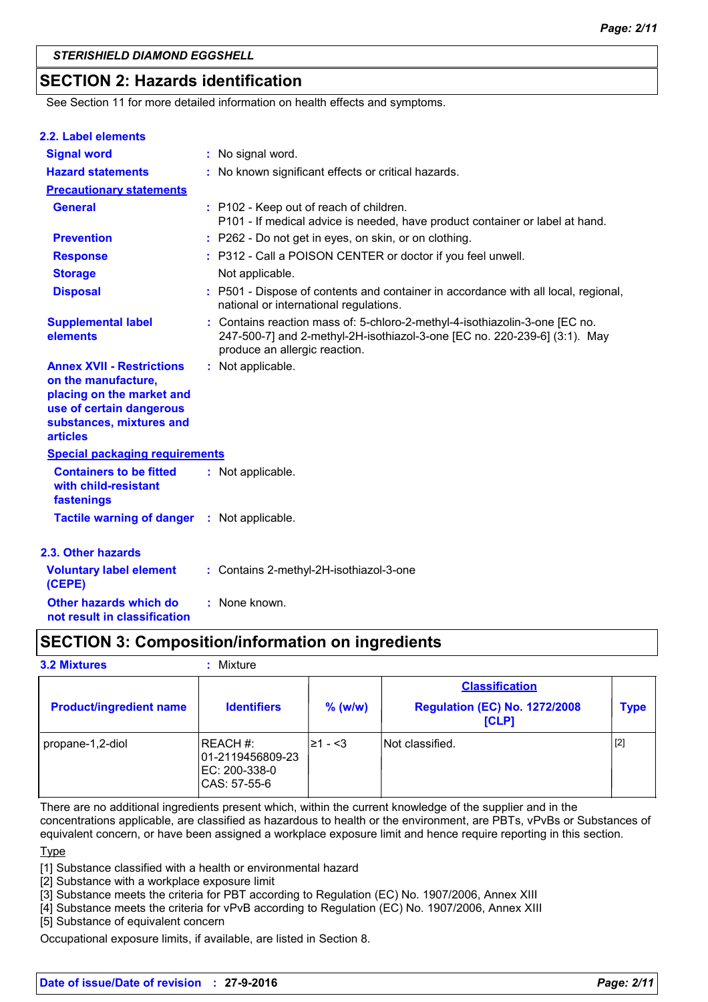## **SECTION 2: Hazards identification**

See Section 11 for more detailed information on health effects and symptoms.

| 2.2. Label elements                                                                                                                                             |                                                                                                                                                                                           |
|-----------------------------------------------------------------------------------------------------------------------------------------------------------------|-------------------------------------------------------------------------------------------------------------------------------------------------------------------------------------------|
| <b>Signal word</b>                                                                                                                                              | : No signal word.                                                                                                                                                                         |
| <b>Hazard statements</b>                                                                                                                                        | : No known significant effects or critical hazards.                                                                                                                                       |
| <b>Precautionary statements</b>                                                                                                                                 |                                                                                                                                                                                           |
| <b>General</b>                                                                                                                                                  | : P102 - Keep out of reach of children.<br>P101 - If medical advice is needed, have product container or label at hand.                                                                   |
| <b>Prevention</b>                                                                                                                                               | : P262 - Do not get in eyes, on skin, or on clothing.                                                                                                                                     |
| <b>Response</b>                                                                                                                                                 | : P312 - Call a POISON CENTER or doctor if you feel unwell.                                                                                                                               |
| <b>Storage</b>                                                                                                                                                  | Not applicable.                                                                                                                                                                           |
| <b>Disposal</b>                                                                                                                                                 | : P501 - Dispose of contents and container in accordance with all local, regional,<br>national or international regulations.                                                              |
| <b>Supplemental label</b><br>elements                                                                                                                           | : Contains reaction mass of: 5-chloro-2-methyl-4-isothiazolin-3-one [EC no.<br>247-500-7] and 2-methyl-2H-isothiazol-3-one [EC no. 220-239-6] (3:1). May<br>produce an allergic reaction. |
| <b>Annex XVII - Restrictions</b><br>on the manufacture,<br>placing on the market and<br>use of certain dangerous<br>substances, mixtures and<br><b>articles</b> | : Not applicable.                                                                                                                                                                         |
| <b>Special packaging requirements</b>                                                                                                                           |                                                                                                                                                                                           |
| <b>Containers to be fitted</b><br>with child-resistant<br>fastenings                                                                                            | : Not applicable.                                                                                                                                                                         |
| <b>Tactile warning of danger</b>                                                                                                                                | : Not applicable.                                                                                                                                                                         |
| 2.3. Other hazards                                                                                                                                              |                                                                                                                                                                                           |
| <b>Voluntary label element</b><br>(CEPE)                                                                                                                        | : Contains 2-methyl-2H-isothiazol-3-one                                                                                                                                                   |
| Other hazards which do<br>not result in classification                                                                                                          | : None known.                                                                                                                                                                             |

## **SECTION 3: Composition/information on ingredients**

#### **3.2 Mixtures :** Mixture

| <b>Product/ingredient name</b> | <b>Identifiers</b>                                            | $%$ (w/w) | <b>Classification</b><br><b>Regulation (EC) No. 1272/2008</b><br>[CLP] | <b>Type</b> |
|--------------------------------|---------------------------------------------------------------|-----------|------------------------------------------------------------------------|-------------|
| propane-1,2-diol               | REACH #:<br>01-2119456809-23<br>EC: 200-338-0<br>CAS: 57-55-6 | l≥1 - <3  | Not classified.                                                        | $[2]$       |

There are no additional ingredients present which, within the current knowledge of the supplier and in the concentrations applicable, are classified as hazardous to health or the environment, are PBTs, vPvBs or Substances of

equivalent concern, or have been assigned a workplace exposure limit and hence require reporting in this section.

**Type** 

[1] Substance classified with a health or environmental hazard

[2] Substance with a workplace exposure limit

[3] Substance meets the criteria for PBT according to Regulation (EC) No. 1907/2006, Annex XIII

[4] Substance meets the criteria for vPvB according to Regulation (EC) No. 1907/2006, Annex XIII

[5] Substance of equivalent concern

Occupational exposure limits, if available, are listed in Section 8.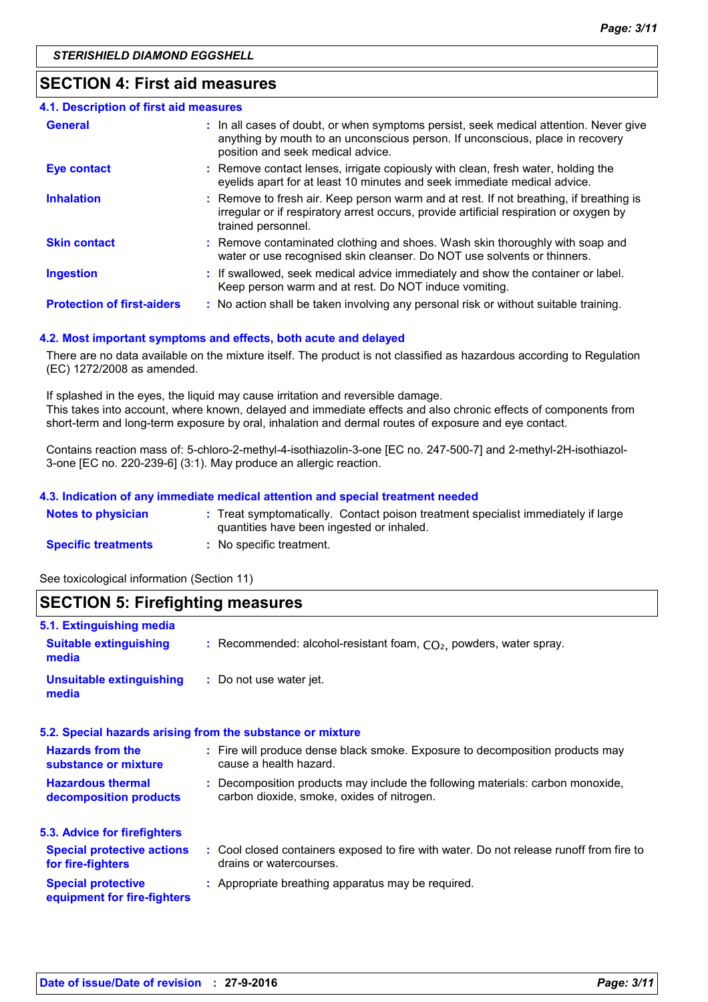## **SECTION 4: First aid measures**

| 4.1. Description of first aid measures |                                                                                                                                                                                                             |
|----------------------------------------|-------------------------------------------------------------------------------------------------------------------------------------------------------------------------------------------------------------|
| <b>General</b>                         | : In all cases of doubt, or when symptoms persist, seek medical attention. Never give<br>anything by mouth to an unconscious person. If unconscious, place in recovery<br>position and seek medical advice. |
| <b>Eye contact</b>                     | : Remove contact lenses, irrigate copiously with clean, fresh water, holding the<br>eyelids apart for at least 10 minutes and seek immediate medical advice.                                                |
| <b>Inhalation</b>                      | : Remove to fresh air. Keep person warm and at rest. If not breathing, if breathing is<br>irregular or if respiratory arrest occurs, provide artificial respiration or oxygen by<br>trained personnel.      |
| <b>Skin contact</b>                    | : Remove contaminated clothing and shoes. Wash skin thoroughly with soap and<br>water or use recognised skin cleanser. Do NOT use solvents or thinners.                                                     |
| <b>Ingestion</b>                       | : If swallowed, seek medical advice immediately and show the container or label.<br>Keep person warm and at rest. Do NOT induce vomiting.                                                                   |
| <b>Protection of first-aiders</b>      | : No action shall be taken involving any personal risk or without suitable training.                                                                                                                        |

#### **4.2. Most important symptoms and effects, both acute and delayed**

There are no data available on the mixture itself. The product is not classified as hazardous according to Regulation (EC) 1272/2008 as amended.

If splashed in the eyes, the liquid may cause irritation and reversible damage. This takes into account, where known, delayed and immediate effects and also chronic effects of components from short-term and long-term exposure by oral, inhalation and dermal routes of exposure and eye contact.

Contains reaction mass of: 5-chloro-2-methyl-4-isothiazolin-3-one [EC no. 247-500-7] and 2-methyl-2H-isothiazol-3-one [EC no. 220-239-6] (3:1). May produce an allergic reaction.

#### **4.3. Indication of any immediate medical attention and special treatment needed**

| <b>Notes to physician</b>  | : Treat symptomatically. Contact poison treatment specialist immediately if large<br>quantities have been ingested or inhaled. |
|----------------------------|--------------------------------------------------------------------------------------------------------------------------------|
| <b>Specific treatments</b> | No specific treatment.                                                                                                         |

See toxicological information (Section 11)

| <b>SECTION 5: Firefighting measures</b>                            |                                                                                                                              |
|--------------------------------------------------------------------|------------------------------------------------------------------------------------------------------------------------------|
| 5.1. Extinguishing media<br><b>Suitable extinguishing</b><br>media | : Recommended: alcohol-resistant foam, $CO2$ , powders, water spray.                                                         |
| <b>Unsuitable extinguishing</b><br>media                           | : Do not use water jet.                                                                                                      |
|                                                                    | 5.2. Special hazards arising from the substance or mixture                                                                   |
| <b>Hazards from the</b><br>substance or mixture                    | : Fire will produce dense black smoke. Exposure to decomposition products may<br>cause a health hazard.                      |
| <b>Hazardous thermal</b><br>decomposition products                 | : Decomposition products may include the following materials: carbon monoxide,<br>carbon dioxide, smoke, oxides of nitrogen. |
| 5.3. Advice for firefighters                                       |                                                                                                                              |
| <b>Special protective actions</b><br>for fire-fighters             | : Cool closed containers exposed to fire with water. Do not release runoff from fire to<br>drains or watercourses.           |
| <b>Special protective</b><br>equipment for fire-fighters           | : Appropriate breathing apparatus may be required.                                                                           |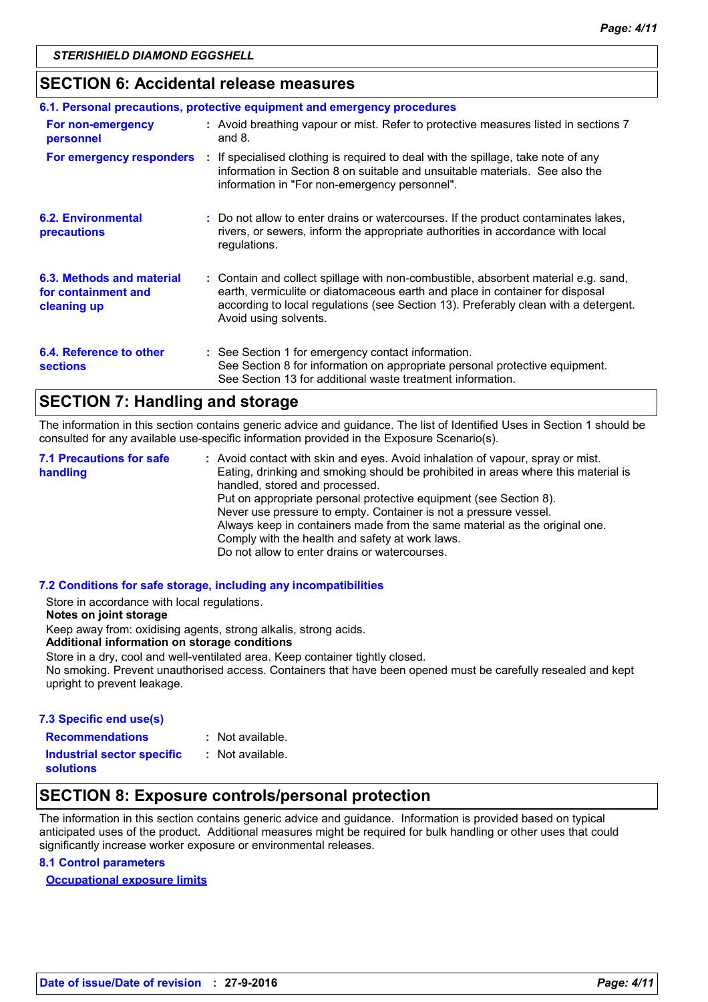## **SECTION 6: Accidental release measures**

|                                                                 | 6.1. Personal precautions, protective equipment and emergency procedures                                                                                                                                                                                                           |
|-----------------------------------------------------------------|------------------------------------------------------------------------------------------------------------------------------------------------------------------------------------------------------------------------------------------------------------------------------------|
| For non-emergency<br>personnel                                  | : Avoid breathing vapour or mist. Refer to protective measures listed in sections 7<br>and $8.$                                                                                                                                                                                    |
|                                                                 | For emergency responders : If specialised clothing is required to deal with the spillage, take note of any<br>information in Section 8 on suitable and unsuitable materials. See also the<br>information in "For non-emergency personnel".                                         |
| 6.2. Environmental<br>precautions                               | : Do not allow to enter drains or watercourses. If the product contaminates lakes,<br>rivers, or sewers, inform the appropriate authorities in accordance with local<br>regulations.                                                                                               |
| 6.3. Methods and material<br>for containment and<br>cleaning up | : Contain and collect spillage with non-combustible, absorbent material e.g. sand,<br>earth, vermiculite or diatomaceous earth and place in container for disposal<br>according to local regulations (see Section 13). Preferably clean with a detergent.<br>Avoid using solvents. |
| 6.4. Reference to other<br><b>sections</b>                      | : See Section 1 for emergency contact information.<br>See Section 8 for information on appropriate personal protective equipment.<br>See Section 13 for additional waste treatment information.                                                                                    |

## **SECTION 7: Handling and storage**

The information in this section contains generic advice and guidance. The list of Identified Uses in Section 1 should be consulted for any available use-specific information provided in the Exposure Scenario(s).

Avoid contact with skin and eyes. Avoid inhalation of vapour, spray or mist. **:** Eating, drinking and smoking should be prohibited in areas where this material is handled, stored and processed. Put on appropriate personal protective equipment (see Section 8). Never use pressure to empty. Container is not a pressure vessel. Always keep in containers made from the same material as the original one. Comply with the health and safety at work laws. Do not allow to enter drains or watercourses. **7.1 Precautions for safe handling**

#### **7.2 Conditions for safe storage, including any incompatibilities**

Store in accordance with local regulations.

#### **Notes on joint storage**

Keep away from: oxidising agents, strong alkalis, strong acids.

#### **Additional information on storage conditions**

Store in a dry, cool and well-ventilated area. Keep container tightly closed.

No smoking. Prevent unauthorised access. Containers that have been opened must be carefully resealed and kept upright to prevent leakage.

#### **7.3 Specific end use(s)**

**Recommendations :**

: Not available.

**Industrial sector specific : solutions**

: Not available.

## **SECTION 8: Exposure controls/personal protection**

The information in this section contains generic advice and guidance. Information is provided based on typical anticipated uses of the product. Additional measures might be required for bulk handling or other uses that could significantly increase worker exposure or environmental releases.

#### **8.1 Control parameters**

**Occupational exposure limits**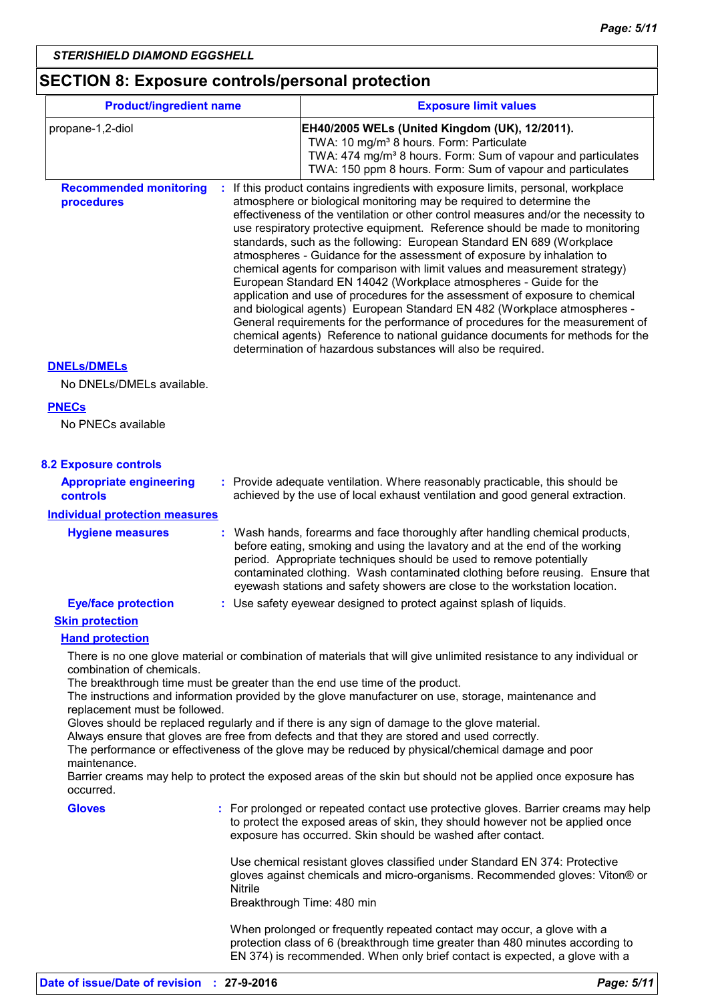## **SECTION 8: Exposure controls/personal protection**

| <b>Product/ingredient name</b>                                         |                | <b>Exposure limit values</b>                                                                                                                                                                                                                                                                                                                                                                                                                                                                                                                                                                                                                                                                                                                                                                                                                                                                                                                                                                                                     |
|------------------------------------------------------------------------|----------------|----------------------------------------------------------------------------------------------------------------------------------------------------------------------------------------------------------------------------------------------------------------------------------------------------------------------------------------------------------------------------------------------------------------------------------------------------------------------------------------------------------------------------------------------------------------------------------------------------------------------------------------------------------------------------------------------------------------------------------------------------------------------------------------------------------------------------------------------------------------------------------------------------------------------------------------------------------------------------------------------------------------------------------|
| propane-1,2-diol                                                       |                | EH40/2005 WELs (United Kingdom (UK), 12/2011).<br>TWA: 10 mg/m <sup>3</sup> 8 hours. Form: Particulate<br>TWA: 474 mg/m <sup>3</sup> 8 hours. Form: Sum of vapour and particulates<br>TWA: 150 ppm 8 hours. Form: Sum of vapour and particulates                                                                                                                                                                                                                                                                                                                                                                                                                                                                                                                                                                                                                                                                                                                                                                                 |
| <b>Recommended monitoring</b><br>procedures                            |                | If this product contains ingredients with exposure limits, personal, workplace<br>atmosphere or biological monitoring may be required to determine the<br>effectiveness of the ventilation or other control measures and/or the necessity to<br>use respiratory protective equipment. Reference should be made to monitoring<br>standards, such as the following: European Standard EN 689 (Workplace<br>atmospheres - Guidance for the assessment of exposure by inhalation to<br>chemical agents for comparison with limit values and measurement strategy)<br>European Standard EN 14042 (Workplace atmospheres - Guide for the<br>application and use of procedures for the assessment of exposure to chemical<br>and biological agents) European Standard EN 482 (Workplace atmospheres -<br>General requirements for the performance of procedures for the measurement of<br>chemical agents) Reference to national guidance documents for methods for the<br>determination of hazardous substances will also be required. |
| <b>DNELS/DMELS</b><br>No DNELs/DMELs available.                        |                |                                                                                                                                                                                                                                                                                                                                                                                                                                                                                                                                                                                                                                                                                                                                                                                                                                                                                                                                                                                                                                  |
| <b>PNECs</b><br>No PNECs available                                     |                |                                                                                                                                                                                                                                                                                                                                                                                                                                                                                                                                                                                                                                                                                                                                                                                                                                                                                                                                                                                                                                  |
| <b>8.2 Exposure controls</b>                                           |                |                                                                                                                                                                                                                                                                                                                                                                                                                                                                                                                                                                                                                                                                                                                                                                                                                                                                                                                                                                                                                                  |
| <b>Appropriate engineering</b><br>controls                             |                | : Provide adequate ventilation. Where reasonably practicable, this should be<br>achieved by the use of local exhaust ventilation and good general extraction.                                                                                                                                                                                                                                                                                                                                                                                                                                                                                                                                                                                                                                                                                                                                                                                                                                                                    |
| <b>Individual protection measures</b><br><b>Hygiene measures</b><br>÷. |                | Wash hands, forearms and face thoroughly after handling chemical products,<br>before eating, smoking and using the lavatory and at the end of the working<br>period. Appropriate techniques should be used to remove potentially<br>contaminated clothing. Wash contaminated clothing before reusing. Ensure that<br>eyewash stations and safety showers are close to the workstation location.                                                                                                                                                                                                                                                                                                                                                                                                                                                                                                                                                                                                                                  |
| <b>Eye/face protection</b>                                             |                | : Use safety eyewear designed to protect against splash of liquids.                                                                                                                                                                                                                                                                                                                                                                                                                                                                                                                                                                                                                                                                                                                                                                                                                                                                                                                                                              |
| <b>Skin protection</b>                                                 |                |                                                                                                                                                                                                                                                                                                                                                                                                                                                                                                                                                                                                                                                                                                                                                                                                                                                                                                                                                                                                                                  |
| <b>Hand protection</b><br>combination of chemicals.                    |                | There is no one glove material or combination of materials that will give unlimited resistance to any individual or<br>The breakthrough time must be greater than the end use time of the product.<br>The instructions and information provided by the glove manufacturer on use, storage, maintenance and                                                                                                                                                                                                                                                                                                                                                                                                                                                                                                                                                                                                                                                                                                                       |
| replacement must be followed.<br>maintenance.<br>occurred.             |                | Gloves should be replaced regularly and if there is any sign of damage to the glove material.<br>Always ensure that gloves are free from defects and that they are stored and used correctly.<br>The performance or effectiveness of the glove may be reduced by physical/chemical damage and poor<br>Barrier creams may help to protect the exposed areas of the skin but should not be applied once exposure has                                                                                                                                                                                                                                                                                                                                                                                                                                                                                                                                                                                                               |
| <b>Gloves</b>                                                          |                | : For prolonged or repeated contact use protective gloves. Barrier creams may help<br>to protect the exposed areas of skin, they should however not be applied once<br>exposure has occurred. Skin should be washed after contact.                                                                                                                                                                                                                                                                                                                                                                                                                                                                                                                                                                                                                                                                                                                                                                                               |
|                                                                        | <b>Nitrile</b> | Use chemical resistant gloves classified under Standard EN 374: Protective<br>gloves against chemicals and micro-organisms. Recommended gloves: Viton® or<br>Breakthrough Time: 480 min                                                                                                                                                                                                                                                                                                                                                                                                                                                                                                                                                                                                                                                                                                                                                                                                                                          |
|                                                                        |                | When prolonged or frequently repeated contact may occur, a glove with a<br>protection class of 6 (breakthrough time greater than 480 minutes according to<br>EN 374) is recommended. When only brief contact is expected, a glove with a                                                                                                                                                                                                                                                                                                                                                                                                                                                                                                                                                                                                                                                                                                                                                                                         |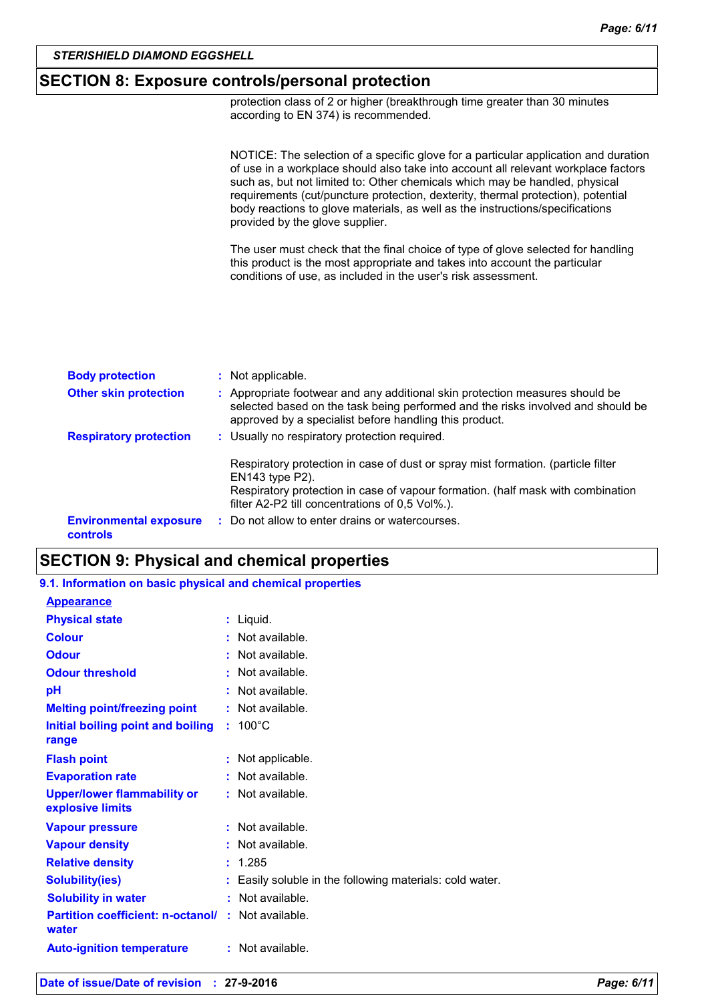#### **SECTION 8: Exposure controls/personal protection**

protection class of 2 or higher (breakthrough time greater than 30 minutes according to EN 374) is recommended.

NOTICE: The selection of a specific glove for a particular application and duration of use in a workplace should also take into account all relevant workplace factors such as, but not limited to: Other chemicals which may be handled, physical requirements (cut/puncture protection, dexterity, thermal protection), potential body reactions to glove materials, as well as the instructions/specifications provided by the glove supplier.

The user must check that the final choice of type of glove selected for handling this product is the most appropriate and takes into account the particular conditions of use, as included in the user's risk assessment.

| <b>Body protection</b>                    | : Not applicable.                                                                                                                                                                                                                         |
|-------------------------------------------|-------------------------------------------------------------------------------------------------------------------------------------------------------------------------------------------------------------------------------------------|
| <b>Other skin protection</b>              | : Appropriate footwear and any additional skin protection measures should be<br>selected based on the task being performed and the risks involved and should be<br>approved by a specialist before handling this product.                 |
| <b>Respiratory protection</b>             | : Usually no respiratory protection required.                                                                                                                                                                                             |
|                                           | Respiratory protection in case of dust or spray mist formation. (particle filter<br>EN143 type P2).<br>Respiratory protection in case of vapour formation. (half mask with combination<br>filter A2-P2 till concentrations of 0,5 Vol%.). |
| <b>Environmental exposure</b><br>controls | : Do not allow to enter drains or watercourses.                                                                                                                                                                                           |

## **SECTION 9: Physical and chemical properties**

| 9.1. Information on basic physical and chemical properties |                                                        |
|------------------------------------------------------------|--------------------------------------------------------|
| <b>Appearance</b>                                          |                                                        |
| <b>Physical state</b>                                      | : Liquid.                                              |
| <b>Colour</b>                                              | : Not available.                                       |
| <b>Odour</b>                                               | : Not available.                                       |
| <b>Odour threshold</b>                                     | : Not available.                                       |
| рH                                                         | : Not available.                                       |
| <b>Melting point/freezing point</b>                        | : Not available.                                       |
| Initial boiling point and boiling                          | $: 100^{\circ}$ C                                      |
| range                                                      |                                                        |
| <b>Flash point</b>                                         | : Not applicable.                                      |
| <b>Evaporation rate</b>                                    | : Not available.                                       |
| <b>Upper/lower flammability or</b><br>explosive limits     | : Not available.                                       |
| <b>Vapour pressure</b>                                     | $:$ Not available.                                     |
| <b>Vapour density</b>                                      | : Not available.                                       |
| <b>Relative density</b>                                    | : 1.285                                                |
| <b>Solubility(ies)</b>                                     | Easily soluble in the following materials: cold water. |
| <b>Solubility in water</b>                                 | : Not available.                                       |
| <b>Partition coefficient: n-octanol/</b><br>water          | : Not available.                                       |
| <b>Auto-ignition temperature</b>                           | : Not available.                                       |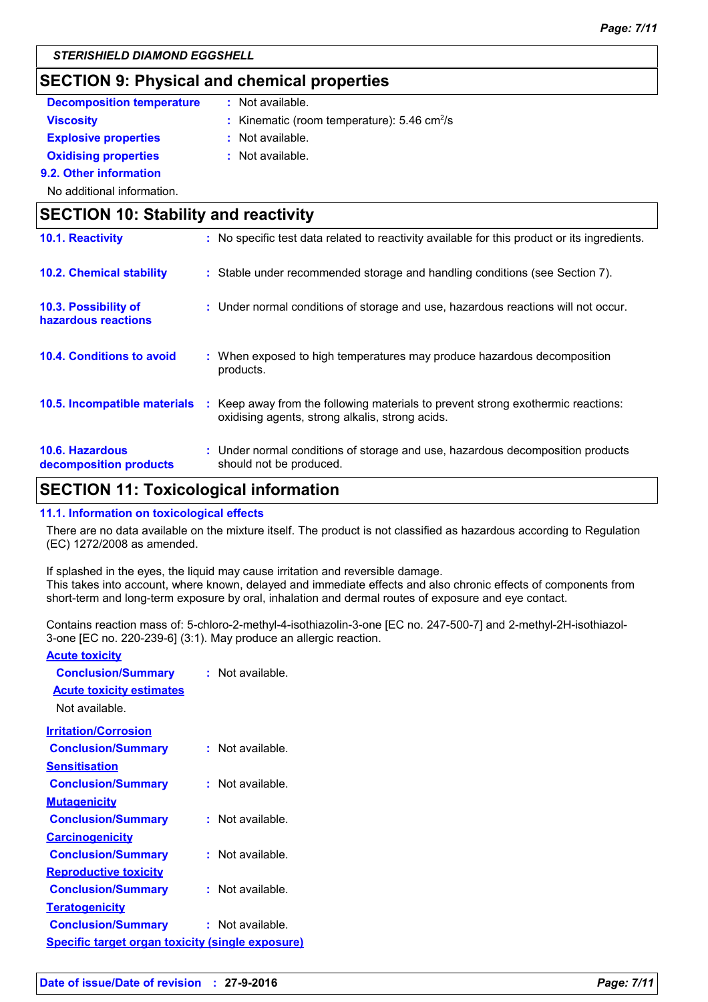## **SECTION 9: Physical and chemical properties**

| <b>Decomposition temperature</b>            | Not available.                                                                                   |  |
|---------------------------------------------|--------------------------------------------------------------------------------------------------|--|
| <b>Viscosity</b>                            | : Kinematic (room temperature): $5.46 \text{ cm}^2/\text{s}$                                     |  |
| <b>Explosive properties</b>                 | $:$ Not available.                                                                               |  |
| <b>Oxidising properties</b>                 | Not available.                                                                                   |  |
| 9.2. Other information                      |                                                                                                  |  |
| No additional information.                  |                                                                                                  |  |
| <b>SECTION 10: Stability and reactivity</b> |                                                                                                  |  |
| 10.1. Reactivity                            | No specific test data related to reactivity available for this product or its ingredients.<br>÷. |  |
|                                             |                                                                                                  |  |

| <b>10.2. Chemical stability</b>                  | : Stable under recommended storage and handling conditions (see Section 7).                                                         |
|--------------------------------------------------|-------------------------------------------------------------------------------------------------------------------------------------|
| 10.3. Possibility of<br>hazardous reactions      | : Under normal conditions of storage and use, hazardous reactions will not occur.                                                   |
| 10.4. Conditions to avoid                        | : When exposed to high temperatures may produce hazardous decomposition<br>products.                                                |
| 10.5. Incompatible materials                     | : Keep away from the following materials to prevent strong exothermic reactions:<br>oxidising agents, strong alkalis, strong acids. |
| <b>10.6. Hazardous</b><br>decomposition products | : Under normal conditions of storage and use, hazardous decomposition products<br>should not be produced.                           |

## **SECTION 11: Toxicological information**

#### **11.1. Information on toxicological effects**

There are no data available on the mixture itself. The product is not classified as hazardous according to Regulation (EC) 1272/2008 as amended.

If splashed in the eyes, the liquid may cause irritation and reversible damage. This takes into account, where known, delayed and immediate effects and also chronic effects of components from short-term and long-term exposure by oral, inhalation and dermal routes of exposure and eye contact.

Contains reaction mass of: 5-chloro-2-methyl-4-isothiazolin-3-one [EC no. 247-500-7] and 2-methyl-2H-isothiazol-3-one [EC no. 220-239-6] (3:1). May produce an allergic reaction.

| <b>Acute toxicity</b> |  |
|-----------------------|--|
|                       |  |

| : Not available.                                        |
|---------------------------------------------------------|
|                                                         |
|                                                         |
| $:$ Not available.                                      |
|                                                         |
| : Not available.                                        |
|                                                         |
| : Not available.                                        |
|                                                         |
| : Not available.                                        |
|                                                         |
| : Not available.                                        |
|                                                         |
| : Not available.                                        |
| <b>Specific target organ toxicity (single exposure)</b> |
|                                                         |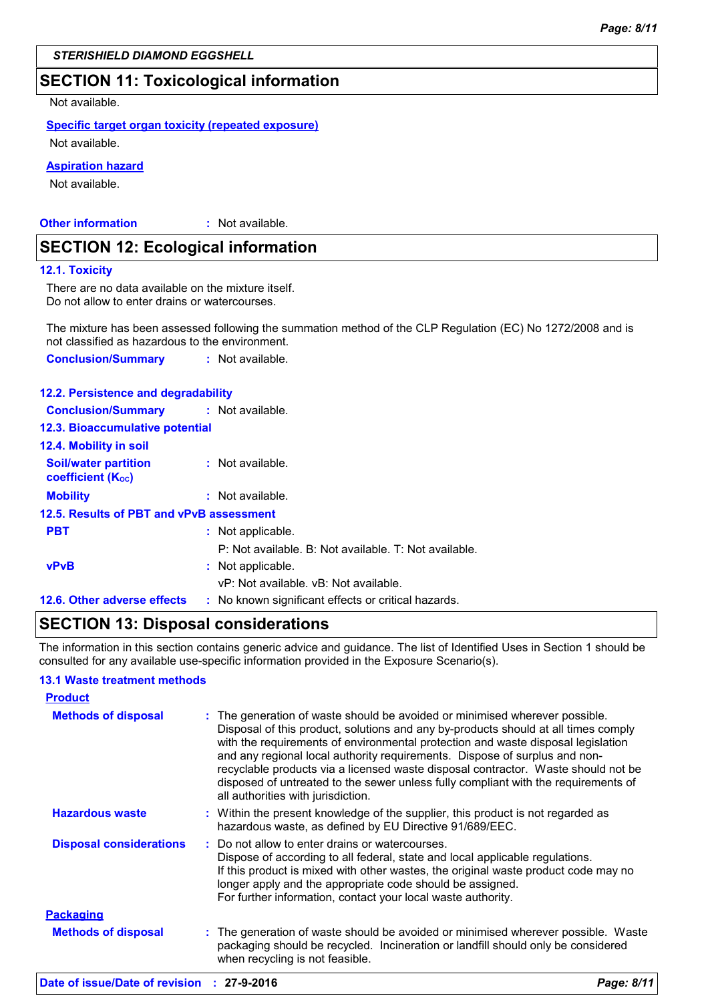## **SECTION 11: Toxicological information**

Not available.

#### **Specific target organ toxicity (repeated exposure)**

Not available.

#### **Aspiration hazard**

Not available.

**Other information :** : Not available.

#### **SECTION 12: Ecological information**

#### **12.1. Toxicity**

There are no data available on the mixture itself. Do not allow to enter drains or watercourses.

The mixture has been assessed following the summation method of the CLP Regulation (EC) No 1272/2008 and is not classified as hazardous to the environment.

**Conclusion/Summary :** Not available.

| 12.2. Persistence and degradability                     |                                                       |
|---------------------------------------------------------|-------------------------------------------------------|
| <b>Conclusion/Summary</b>                               | : Not available.                                      |
| 12.3. Bioaccumulative potential                         |                                                       |
| 12.4. Mobility in soil                                  |                                                       |
| <b>Soil/water partition</b><br><b>coefficient (Koc)</b> | : Not available.                                      |
| <b>Mobility</b>                                         | : Not available.                                      |
| 12.5. Results of PBT and vPvB assessment                |                                                       |
| <b>PBT</b>                                              | : Not applicable.                                     |
|                                                         | P: Not available. B: Not available. T: Not available. |
| <b>vPvB</b>                                             | : Not applicable.                                     |
|                                                         | vP: Not available, vB: Not available.                 |
| 12.6. Other adverse effects                             | : No known significant effects or critical hazards.   |
| CECTION 42. Disposal considerations                     |                                                       |

### **SECTION 13: Disposal considerations**

The information in this section contains generic advice and guidance. The list of Identified Uses in Section 1 should be consulted for any available use-specific information provided in the Exposure Scenario(s).

#### **13.1 Waste treatment methods**

| <b>Product</b>                 |                                                                                                                                                                                                                                                                                                                                                                                                                                                                                                                                                      |
|--------------------------------|------------------------------------------------------------------------------------------------------------------------------------------------------------------------------------------------------------------------------------------------------------------------------------------------------------------------------------------------------------------------------------------------------------------------------------------------------------------------------------------------------------------------------------------------------|
| <b>Methods of disposal</b>     | : The generation of waste should be avoided or minimised wherever possible.<br>Disposal of this product, solutions and any by-products should at all times comply<br>with the requirements of environmental protection and waste disposal legislation<br>and any regional local authority requirements. Dispose of surplus and non-<br>recyclable products via a licensed waste disposal contractor. Waste should not be<br>disposed of untreated to the sewer unless fully compliant with the requirements of<br>all authorities with jurisdiction. |
| <b>Hazardous waste</b>         | : Within the present knowledge of the supplier, this product is not regarded as<br>hazardous waste, as defined by EU Directive 91/689/EEC.                                                                                                                                                                                                                                                                                                                                                                                                           |
| <b>Disposal considerations</b> | : Do not allow to enter drains or watercourses.<br>Dispose of according to all federal, state and local applicable regulations.<br>If this product is mixed with other wastes, the original waste product code may no<br>longer apply and the appropriate code should be assigned.<br>For further information, contact your local waste authority.                                                                                                                                                                                                   |
| <b>Packaging</b>               |                                                                                                                                                                                                                                                                                                                                                                                                                                                                                                                                                      |
| <b>Methods of disposal</b>     | : The generation of waste should be avoided or minimised wherever possible. Waste<br>packaging should be recycled. Incineration or landfill should only be considered<br>when recycling is not feasible.                                                                                                                                                                                                                                                                                                                                             |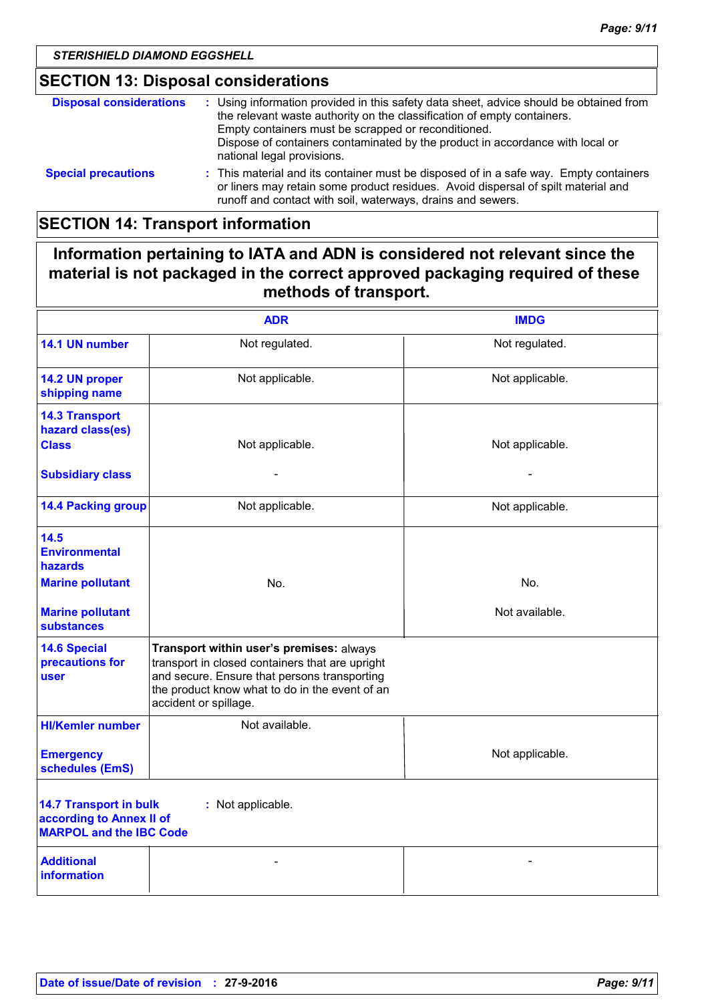## **SECTION 13: Disposal considerations**

| <b>Disposal considerations</b> | : Using information provided in this safety data sheet, advice should be obtained from<br>the relevant waste authority on the classification of empty containers.<br>Empty containers must be scrapped or reconditioned.<br>Dispose of containers contaminated by the product in accordance with local or<br>national legal provisions. |
|--------------------------------|-----------------------------------------------------------------------------------------------------------------------------------------------------------------------------------------------------------------------------------------------------------------------------------------------------------------------------------------|
| <b>Special precautions</b>     | : This material and its container must be disposed of in a safe way. Empty containers<br>or liners may retain some product residues. Avoid dispersal of spilt material and<br>runoff and contact with soil, waterways, drains and sewers.                                                                                               |

## **SECTION 14: Transport information**

## **Information pertaining to IATA and ADN is considered not relevant since the material is not packaged in the correct approved packaging required of these methods of transport.**

|                                                                                                                  | <b>ADR</b>                                                                                                                                                                                                             | <b>IMDG</b>     |  |
|------------------------------------------------------------------------------------------------------------------|------------------------------------------------------------------------------------------------------------------------------------------------------------------------------------------------------------------------|-----------------|--|
| 14.1 UN number                                                                                                   | Not regulated.                                                                                                                                                                                                         | Not regulated.  |  |
| 14.2 UN proper<br>shipping name                                                                                  | Not applicable.                                                                                                                                                                                                        | Not applicable. |  |
| <b>14.3 Transport</b><br>hazard class(es)<br><b>Class</b>                                                        | Not applicable.                                                                                                                                                                                                        | Not applicable. |  |
| <b>Subsidiary class</b>                                                                                          |                                                                                                                                                                                                                        |                 |  |
| <b>14.4 Packing group</b>                                                                                        | Not applicable.                                                                                                                                                                                                        | Not applicable. |  |
| 14.5<br><b>Environmental</b><br>hazards                                                                          |                                                                                                                                                                                                                        |                 |  |
| <b>Marine pollutant</b>                                                                                          | No.                                                                                                                                                                                                                    | No.             |  |
| <b>Marine pollutant</b><br><b>substances</b>                                                                     |                                                                                                                                                                                                                        | Not available.  |  |
| <b>14.6 Special</b><br>precautions for<br>user                                                                   | Transport within user's premises: always<br>transport in closed containers that are upright<br>and secure. Ensure that persons transporting<br>the product know what to do in the event of an<br>accident or spillage. |                 |  |
| <b>HI/Kemler number</b>                                                                                          | Not available.                                                                                                                                                                                                         |                 |  |
| <b>Emergency</b><br>schedules (EmS)                                                                              |                                                                                                                                                                                                                        | Not applicable. |  |
| <b>14.7 Transport in bulk</b><br>: Not applicable.<br>according to Annex II of<br><b>MARPOL and the IBC Code</b> |                                                                                                                                                                                                                        |                 |  |
| <b>Additional</b><br><b>information</b>                                                                          |                                                                                                                                                                                                                        |                 |  |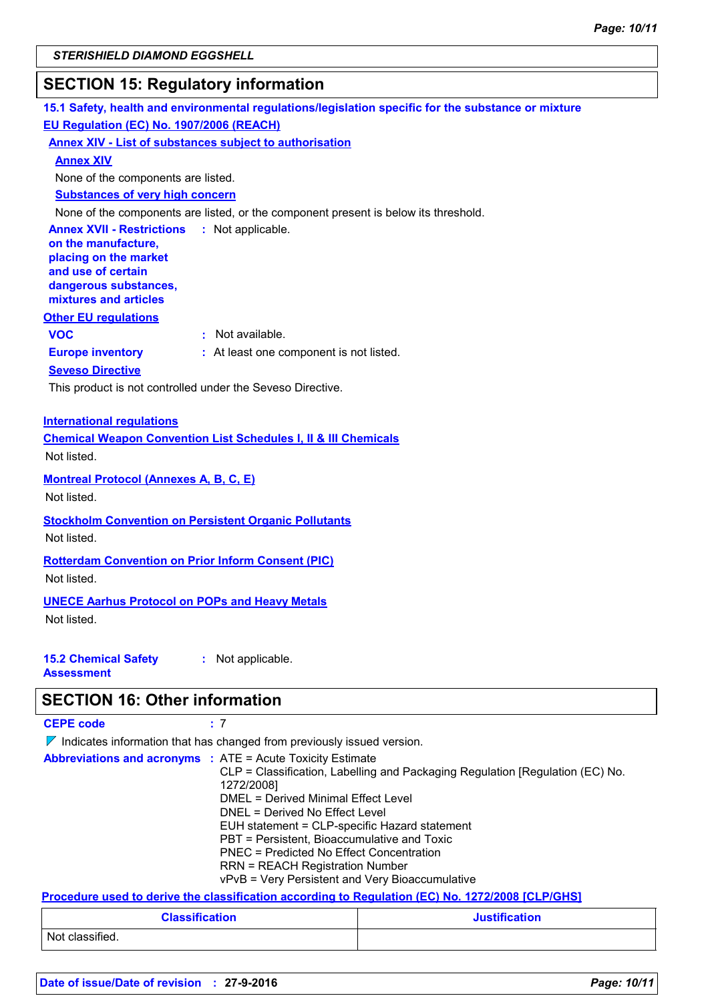## **SECTION 15: Regulatory information**

**15.1 Safety, health and environmental regulations/legislation specific for the substance or mixture Other EU regulations Annex XVII - Restrictions :** Not applicable. **on the manufacture, placing on the market and use of certain dangerous substances, mixtures and articles Europe inventory :** At least one component is not listed. **EU Regulation (EC) No. 1907/2006 (REACH) Annex XIV - List of substances subject to authorisation Annex XIV Substances of very high concern** None of the components are listed, or the component present is below its threshold. None of the components are listed. **VOC :** Not available. **Seveso Directive** This product is not controlled under the Seveso Directive.

#### **International regulations**

**Chemical Weapon Convention List Schedules I, II & III Chemicals** Not listed.

**Montreal Protocol (Annexes A, B, C, E)**

Not listed.

**Stockholm Convention on Persistent Organic Pollutants** Not listed.

#### **Rotterdam Convention on Prior Inform Consent (PIC)**

Not listed.

#### **UNECE Aarhus Protocol on POPs and Heavy Metals**

Not listed.

#### **15.2 Chemical Safety Assessment :** Not applicable.

## **SECTION 16: Other information**

| <b>CEPE code</b> | : 7                                                                                                                                                                                                                                                                                                                                                                                                                                                                         |
|------------------|-----------------------------------------------------------------------------------------------------------------------------------------------------------------------------------------------------------------------------------------------------------------------------------------------------------------------------------------------------------------------------------------------------------------------------------------------------------------------------|
|                  | $\nabla$ Indicates information that has changed from previously issued version.                                                                                                                                                                                                                                                                                                                                                                                             |
|                  | <b>Abbreviations and acronyms : ATE = Acute Toxicity Estimate</b><br>CLP = Classification, Labelling and Packaging Regulation [Regulation (EC) No.<br>1272/2008]<br>DMEL = Derived Minimal Effect Level<br>DNEL = Derived No Effect Level<br>EUH statement = CLP-specific Hazard statement<br>PBT = Persistent, Bioaccumulative and Toxic<br>PNEC = Predicted No Effect Concentration<br>RRN = REACH Registration Number<br>vPvB = Very Persistent and Very Bioaccumulative |
|                  | Procedure used to derive the classification according to Regulation (EC) No. 1272/2008 [CLP/GHS]                                                                                                                                                                                                                                                                                                                                                                            |

| <b>Classification</b> | <b>Justification</b> |
|-----------------------|----------------------|
| Not classified.       |                      |